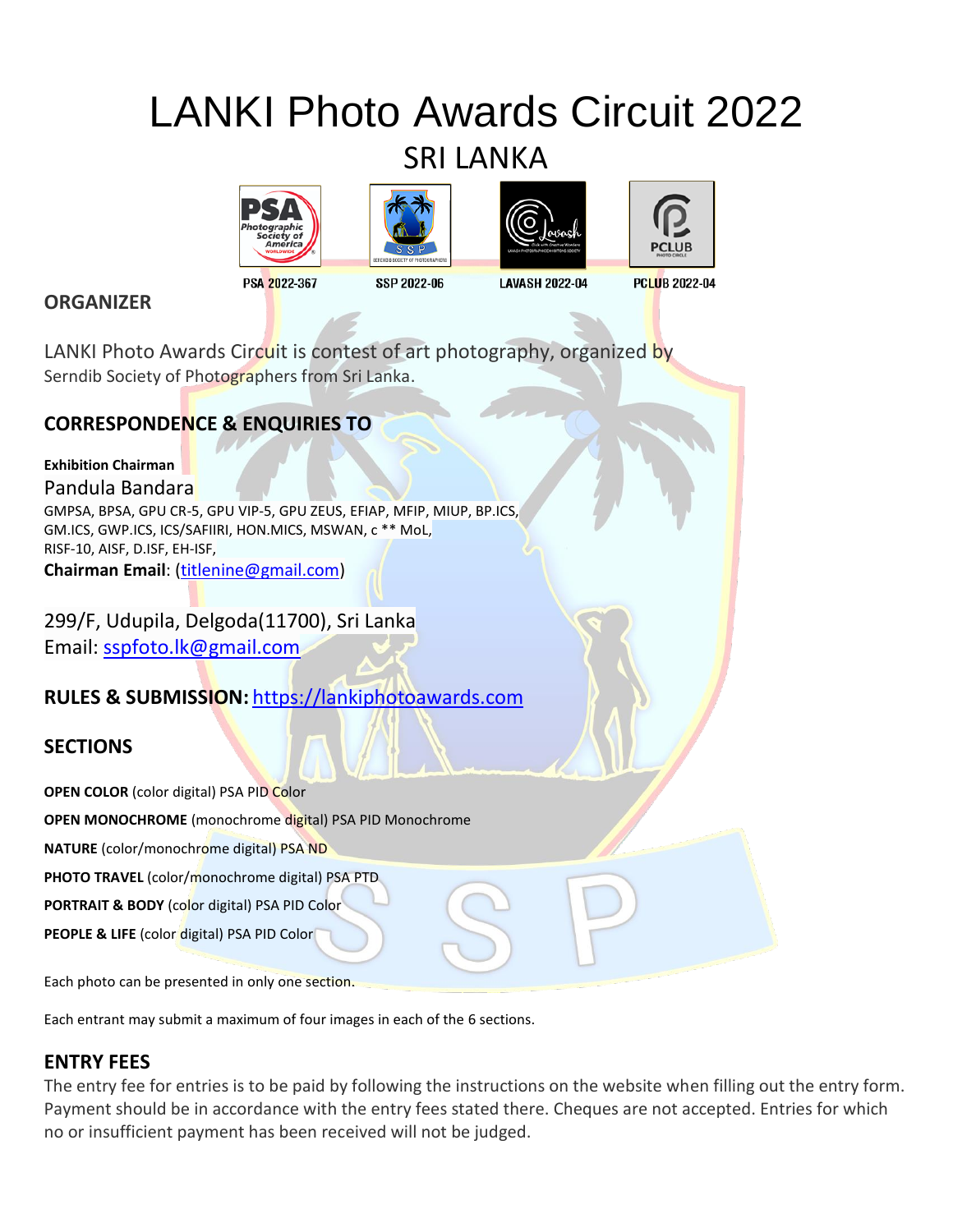# LANKI Photo Awards Circuit 2022 SRI LANKA









PSA 2022-367

SSP 2022-06

**LAVASH 2022-04** 

**PCLUB 2022-04** 

LANKI Photo Awards Circuit is contest of art photography, organized by Serndib Society of Photographers from Sri Lanka.

# **CORRESPONDENCE & ENQUIRIES TO**

**Exhibition Chairman** Pandula Bandara GMPSA, BPSA, GPU CR-5, GPU VIP-5, GPU ZEUS, EFIAP, MFIP, MIUP, BP.ICS, GM.ICS, GWP.ICS, ICS/SAFIIRI, HON.MICS, MSWAN, c \*\* MoL, RISF-10, AISF, D.ISF, EH-ISF, **Chairman Email**: [\(titlenine@gmail.com\)](mailto:titlenine@gmail.com)

299/F, Udupila, Delgoda(11700), Sri Lanka Email: [sspfoto.lk@gmail.com](mailto:sspfoto.lk@gmail.com)

# **RULES & SUBMISSION:** [https://lankiphotoawards.com](https://lankiphotoawards.com/)

# **SECTIONS**

**ORGANIZER**

**OPEN COLOR** (color digital) PSA PID Color

**OPEN MONOCHROME** (monochrome digital) PSA PID Monochrome

**NATURE** (color/monochrome digital) PSA ND

**PHOTO TRAVEL** (color/monochrome digital) PSA PTD

**PORTRAIT & BODY** (color digital) PSA PID Color

**PEOPLE & LIFE** (color digital) PSA PID Color

Each photo can be presented in only one section.

Each entrant may submit a maximum of four images in each of the 6 sections.

# **ENTRY FEES**

The entry fee for entries is to be paid by following the instructions on the website when filling out the entry form. Payment should be in accordance with the entry fees stated there. Cheques are not accepted. Entries for which no or insufficient payment has been received will not be judged.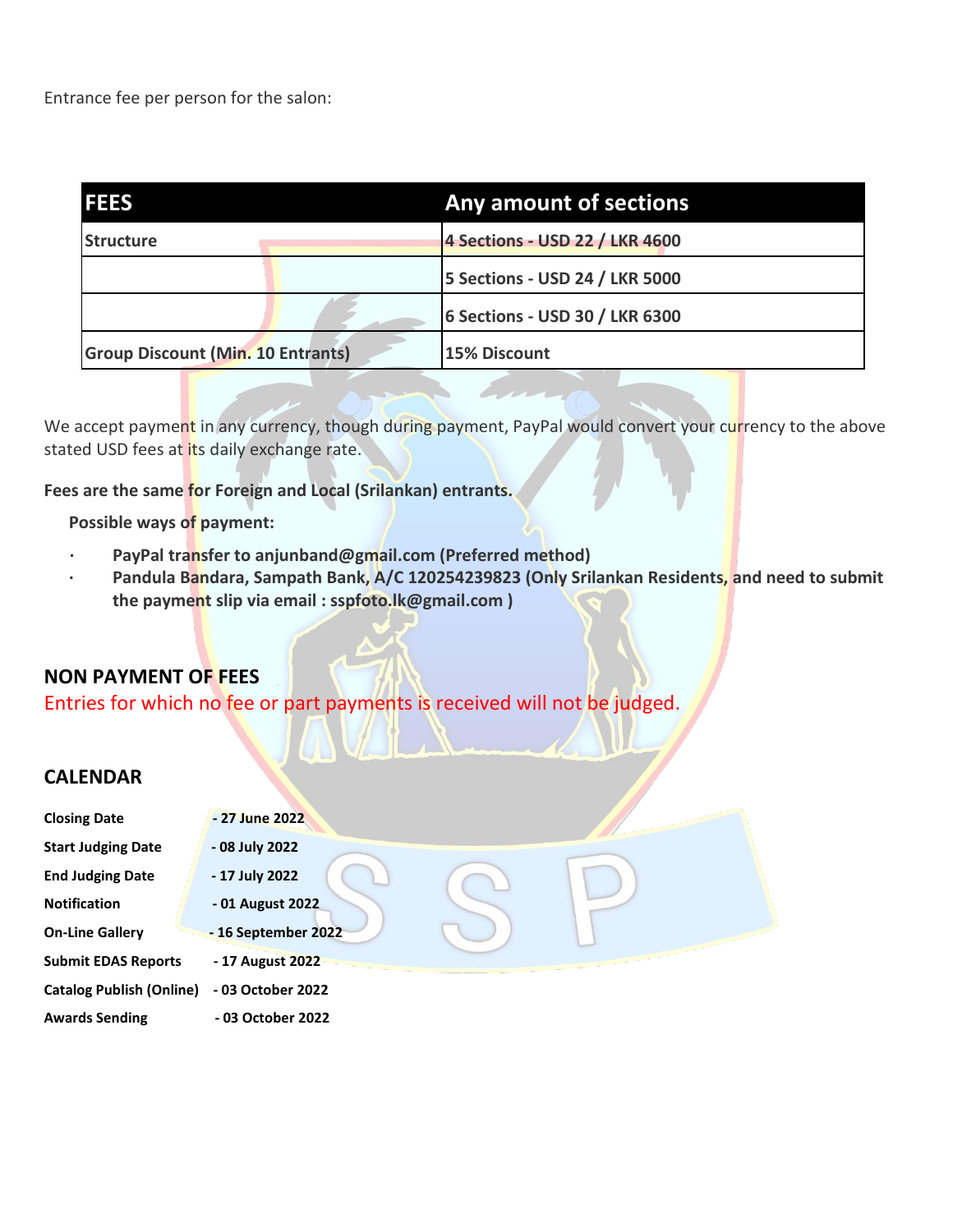Entrance fee per person for the salon:

| <b>IFEES</b>                             |  | Any amount of sections         |
|------------------------------------------|--|--------------------------------|
| <b>Structure</b>                         |  | 4 Sections - USD 22 / LKR 4600 |
|                                          |  | 5 Sections - USD 24 / LKR 5000 |
|                                          |  | 6 Sections - USD 30 / LKR 6300 |
| <b>Group Discount (Min. 10 Entrants)</b> |  | 15% Discount                   |

We accept payment in any currency, though during payment, PayPal would convert your currency to the above stated USD fees at its daily exchange rate.

**Fees are the same for Foreign and Local (Srilankan) entrants.**

**Possible ways of payment:**

- PayPal transfer to anjunband@gmail.com (Preferred method)
- **· Pandula Bandara, Sampath Bank, A/C 120254239823 (Only Srilankan Residents, and need to submit the payment slip via email : sspfoto.lk@gmail.com )**

# **NON PAYMENT OF FEES**

Entries for which no fee or part payments is received will not be judged.

# **CALENDAR**

| <b>Closing Date</b>             | - 27 June 2022      |
|---------------------------------|---------------------|
| <b>Start Judging Date</b>       | - 08 July 2022      |
| <b>End Judging Date</b>         | - 17 July 2022      |
| <b>Notification</b>             | - 01 August 2022    |
| <b>On-Line Gallery</b>          | - 16 September 2022 |
| <b>Submit EDAS Reports</b>      | - 17 August 2022    |
| <b>Catalog Publish (Online)</b> | - 03 October 2022   |
| <b>Awards Sending</b>           | - 03 October 2022   |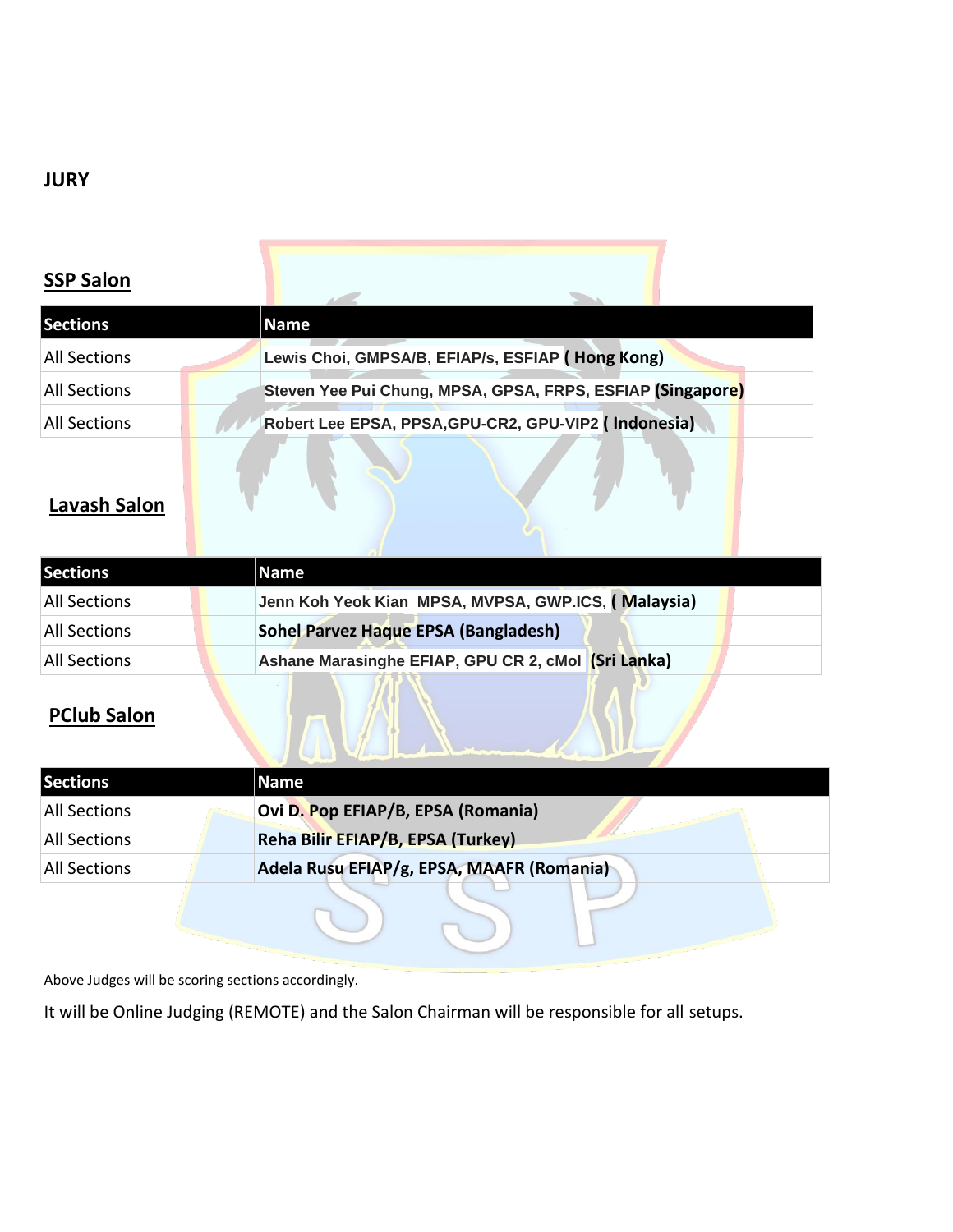# **JURY**

# **SSP Salon**

| <b>Sections</b>     | Name                                                       |
|---------------------|------------------------------------------------------------|
| <b>All Sections</b> | Lewis Choi, GMPSA/B, EFIAP/s, ESFIAP (Hong Kong)           |
| <b>All Sections</b> | Steven Yee Pui Chung, MPSA, GPSA, FRPS, ESFIAP (Singapore) |
| <b>All Sections</b> | Robert Lee EPSA, PPSA, GPU-CR2, GPU-VIP2 (Indonesia)       |

# **Lavash Salon**

| <b>Sections</b>     | Name                                                |
|---------------------|-----------------------------------------------------|
| <b>All Sections</b> | Jenn Koh Yeok Kian MPSA, MVPSA, GWP.ICS, (Malaysia) |
| All Sections        | Sohel Parvez Haque EPSA (Bangladesh)                |
| <b>All Sections</b> | Ashane Marasinghe EFIAP, GPU CR 2, cMol (Sri Lanka) |

# **PClub Salon**

| <b>Sections</b>     | <b>Name</b>                               |
|---------------------|-------------------------------------------|
| All Sections        | Ovi D. Pop EFIAP/B, EPSA (Romania)        |
| <b>All Sections</b> | Reha Bilir EFIAP/B, EPSA (Turkey)         |
| All Sections        | Adela Rusu EFIAP/g, EPSA, MAAFR (Romania) |
|                     |                                           |

Above Judges will be scoring sections accordingly.

It will be Online Judging (REMOTE) and the Salon Chairman will be responsible for all setups.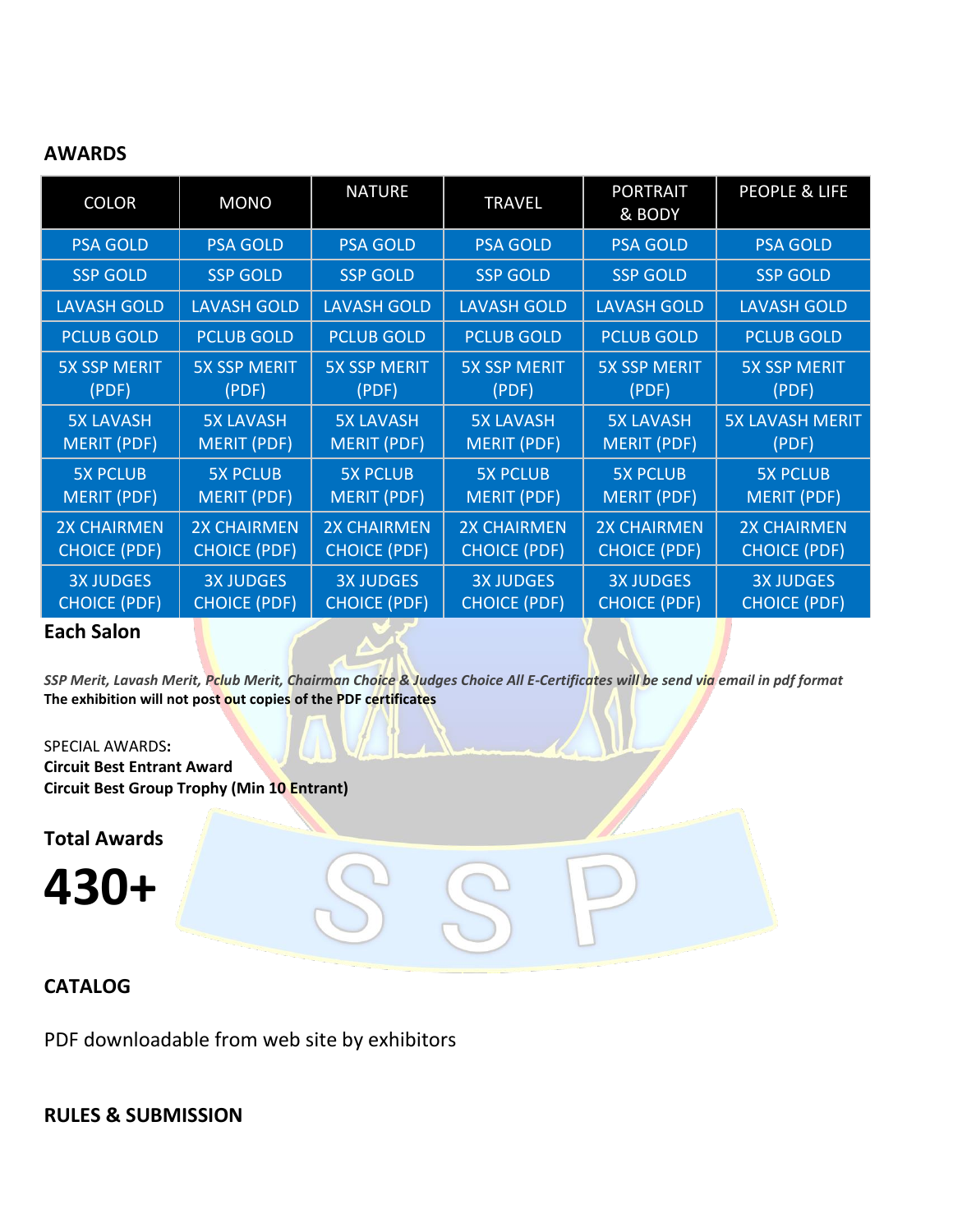# **AWARDS**

| <b>COLOR</b>        | <b>MONO</b>         | <b>NATURE</b>       | <b>TRAVEL</b>       | <b>PORTRAIT</b><br>& BODY | <b>PEOPLE &amp; LIFE</b> |
|---------------------|---------------------|---------------------|---------------------|---------------------------|--------------------------|
| <b>PSA GOLD</b>     | <b>PSA GOLD</b>     | <b>PSA GOLD</b>     | <b>PSA GOLD</b>     | <b>PSA GOLD</b>           | <b>PSA GOLD</b>          |
| <b>SSP GOLD</b>     | <b>SSP GOLD</b>     | <b>SSP GOLD</b>     | <b>SSP GOLD</b>     | <b>SSP GOLD</b>           | <b>SSP GOLD</b>          |
| <b>LAVASH GOLD</b>  | <b>LAVASH GOLD</b>  | <b>LAVASH GOLD</b>  | <b>LAVASH GOLD</b>  | <b>LAVASH GOLD</b>        | <b>LAVASH GOLD</b>       |
| <b>PCLUB GOLD</b>   | <b>PCLUB GOLD</b>   | <b>PCLUB GOLD</b>   | <b>PCLUB GOLD</b>   | <b>PCLUB GOLD</b>         | <b>PCLUB GOLD</b>        |
| <b>5X SSP MERIT</b> | <b>5X SSP MERIT</b> | <b>5X SSP MERIT</b> | <b>5X SSP MERIT</b> | <b>5X SSP MERIT</b>       | <b>5X SSP MERIT</b>      |
| (PDF)               | (PDF)               | (PDF)               | (PDF)               | (PDF)                     | (PDF)                    |
| <b>5X LAVASH</b>    | <b>5X LAVASH</b>    | <b>5X LAVASH</b>    | <b>5X LAVASH</b>    | <b>5X LAVASH</b>          | <b>5X LAVASH MERIT</b>   |
| <b>MERIT (PDF)</b>  | <b>MERIT (PDF)</b>  | <b>MERIT (PDF)</b>  | <b>MERIT (PDF)</b>  | <b>MERIT (PDF)</b>        | (PDF)                    |
| <b>5X PCLUB</b>     | <b>5X PCLUB</b>     | <b>5X PCLUB</b>     | <b>5X PCLUB</b>     | <b>5X PCLUB</b>           | <b>5X PCLUB</b>          |
| <b>MERIT (PDF)</b>  | <b>MERIT (PDF)</b>  | <b>MERIT (PDF)</b>  | <b>MERIT (PDF)</b>  | <b>MERIT (PDF)</b>        | <b>MERIT (PDF)</b>       |
| <b>2X CHAIRMEN</b>  | <b>2X CHAIRMEN</b>  | <b>2X CHAIRMEN</b>  | <b>2X CHAIRMEN</b>  | <b>2X CHAIRMEN</b>        | <b>2X CHAIRMEN</b>       |
| <b>CHOICE (PDF)</b> | <b>CHOICE (PDF)</b> | <b>CHOICE (PDF)</b> | <b>CHOICE (PDF)</b> | <b>CHOICE (PDF)</b>       | <b>CHOICE (PDF)</b>      |
| <b>3X JUDGES</b>    | <b>3X JUDGES</b>    | <b>3X JUDGES</b>    | <b>3X JUDGES</b>    | <b>3X JUDGES</b>          | <b>3X JUDGES</b>         |
| <b>CHOICE (PDF)</b> | <b>CHOICE (PDF)</b> | <b>CHOICE (PDF)</b> | <b>CHOICE (PDF)</b> | <b>CHOICE (PDF)</b>       | <b>CHOICE (PDF)</b>      |

### **Each Salon**

*SSP Merit, Lavash Merit, Pclub Merit, Chairman Choice & Judges Choice All E-Certificates will be send via email in pdf format* **The exhibition will not post out copies of the PDF certificates**

SPECIAL AWARDS**:** 

**Circuit Best Entrant Award Circuit Best Group Trophy (Min 10 Entrant)**

**Total Awards**

**430+**

# **CATALOG**

PDF downloadable from web site by exhibitors

# **RULES & SUBMISSION**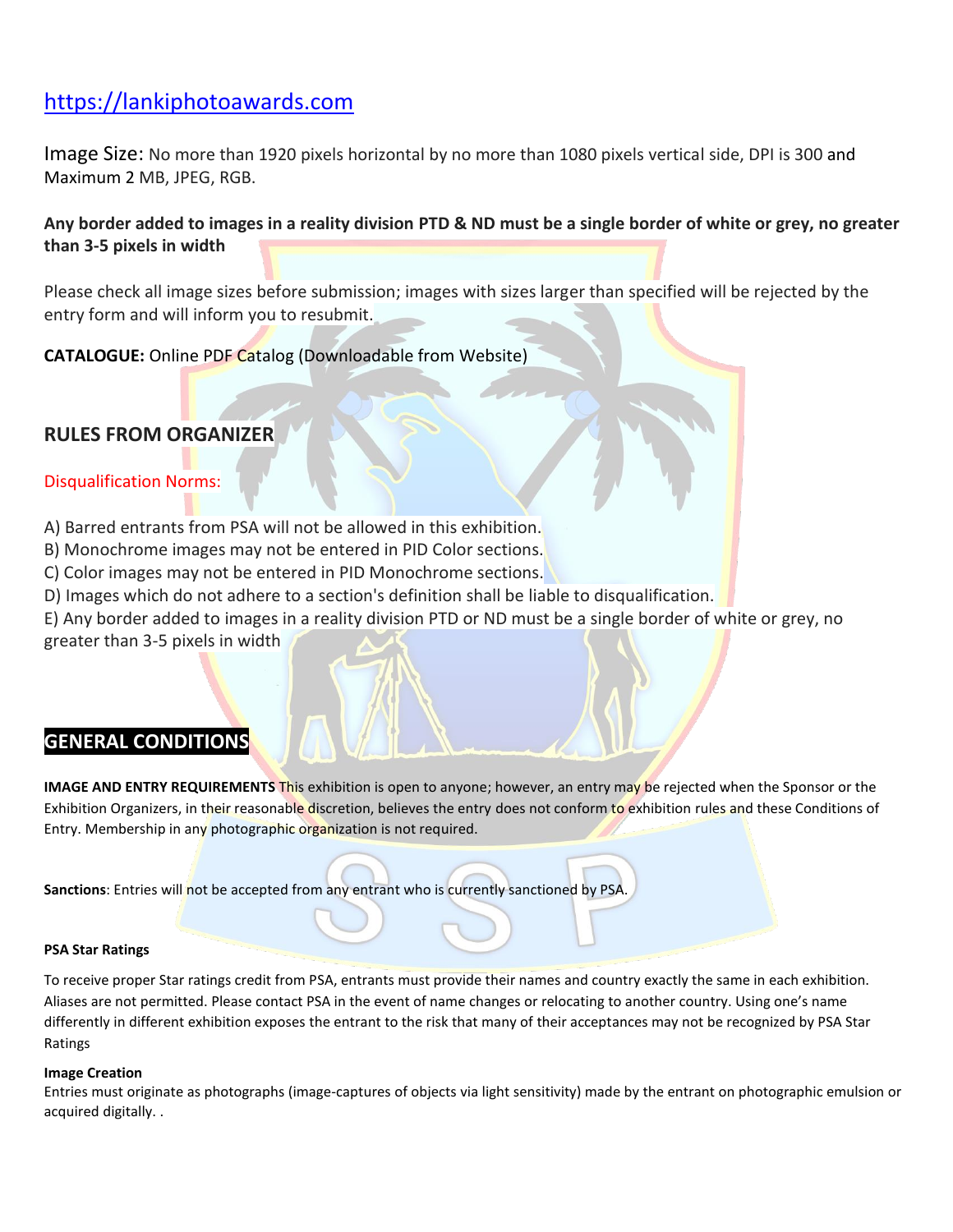# [https://lankiphotoawards.com](https://lankiphotoawards.com/)

Image Size: No more than 1920 pixels horizontal by no more than 1080 pixels vertical side, DPI is 300 and Maximum 2 MB, JPEG, RGB.

### **Any border added to images in a reality division PTD & ND must be a single border of white or grey, no greater than 3-5 pixels in width**

Please check all image sizes before submission; images with sizes larger than specified will be rejected by the entry form and will inform you to resubmit.

**CATALOGUE:** Online PDF Catalog (Downloadable from Website)

# **RULES FROM ORGANIZER**

### Disqualification Norms:

- A) Barred entrants from PSA will not be allowed in this exhibition.
- B) Monochrome images may not be entered in PID Color sections.
- C) Color images may not be entered in PID Monochrome sections.
- D) Images which do not adhere to a section's definition shall be liable to disqualification.
- E) Any border added to images in a reality division PTD or ND must be a single border of white or grey, no

greater than 3-5 pixels in width

# **GENERAL CONDITIONS**

**IMAGE AND ENTRY REQUIREMENTS** This exhibition is open to anyone; however, an entry may be rejected when the Sponsor or the Exhibition Organizers, in their reasonable discretion, believes the entry does not conform to exhibition rules and these Conditions of Entry. Membership in any photographic organization is not required.

**Sanctions**: Entries will not be accepted from any entrant who is currently sanctioned by PSA.

#### **PSA Star Ratings**

To receive proper Star ratings credit from PSA, entrants must provide their names and country exactly the same in each exhibition. Aliases are not permitted. Please contact PSA in the event of name changes or relocating to another country. Using one's name differently in different exhibition exposes the entrant to the risk that many of their acceptances may not be recognized by PSA Star Ratings

#### **Image Creation**

Entries must originate as photographs (image-captures of objects via light sensitivity) made by the entrant on photographic emulsion or acquired digitally. .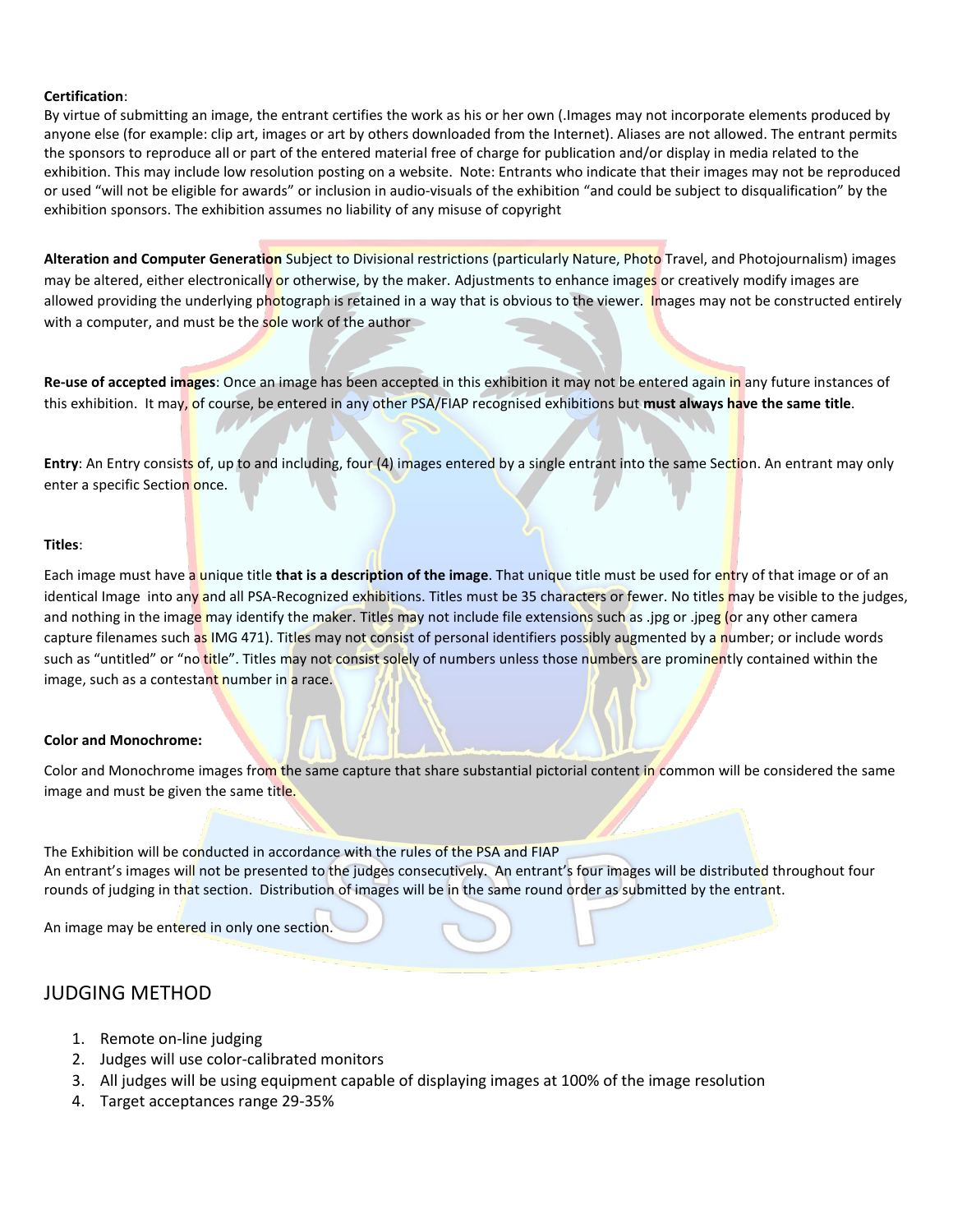#### **Certification**:

By virtue of submitting an image, the entrant certifies the work as his or her own (.Images may not incorporate elements produced by anyone else (for example: clip art, images or art by others downloaded from the Internet). Aliases are not allowed. The entrant permits the sponsors to reproduce all or part of the entered material free of charge for publication and/or display in media related to the exhibition. This may include low resolution posting on a website. Note: Entrants who indicate that their images may not be reproduced or used "will not be eligible for awards" or inclusion in audio-visuals of the exhibition "and could be subject to disqualification" by the exhibition sponsors. The exhibition assumes no liability of any misuse of copyright

Alteration and Computer Generation Subject to Divisional restrictions (particularly Nature, Photo Travel, and Photojournalism) images may be altered, either electronically or otherwise, by the maker. Adjustments to enhance images or creatively modify images are allowed providing the underlying photograph is retained in a way that is obvious to the viewer. Images may not be constructed entirely with a computer, and must be the sole work of the author

**Re-use of accepted images**: Once an image has been accepted in this exhibition it may not be entered again in any future instances of this exhibition. It may, of course, be entered in any other PSA/FIAP recognised exhibitions but **must always have the same title**.

**Entry:** An Entry consists of, up to and including, four (4) images entered by a single entrant into the same Section. An entrant may only enter a specific Section once.

#### **Titles**:

Each image must have a unique title **that is a description of the image**. That unique title must be used for entry of that image or of an identical Image into any and all PSA-Recognized exhibitions. Titles must be 35 characters or fewer. No titles may be visible to the judges, and nothing in the image may identify the maker. Titles may not include file extensions such as .jpg or .jpeg (or any other camera capture filenames such as IMG 471). Titles may not consist of personal identifiers possibly augmented by a number; or include words such as "untitled" or "no title". Titles may not consist solely of numbers unless those numbers are prominently contained within the image, such as a contestant number in a race.

#### **Color and Monochrome:**

Color and Monochrome images from the same capture that share substantial pictorial content in common will be considered the same image and must be given the same title.

The Exhibition will be conducted in accordance with the rules of the PSA and FIAP An entrant's images will not be presented to the judges consecutively. An entrant's four images will be distributed throughout four rounds of judging in that section. Distribution of images will be in the same round order as submitted by the entrant.

An image may be entered in only one section.

### JUDGING METHOD

- 1. Remote on-line judging
- 2. Judges will use color-calibrated monitors
- 3. All judges will be using equipment capable of displaying images at 100% of the image resolution
- 4. Target acceptances range 29-35%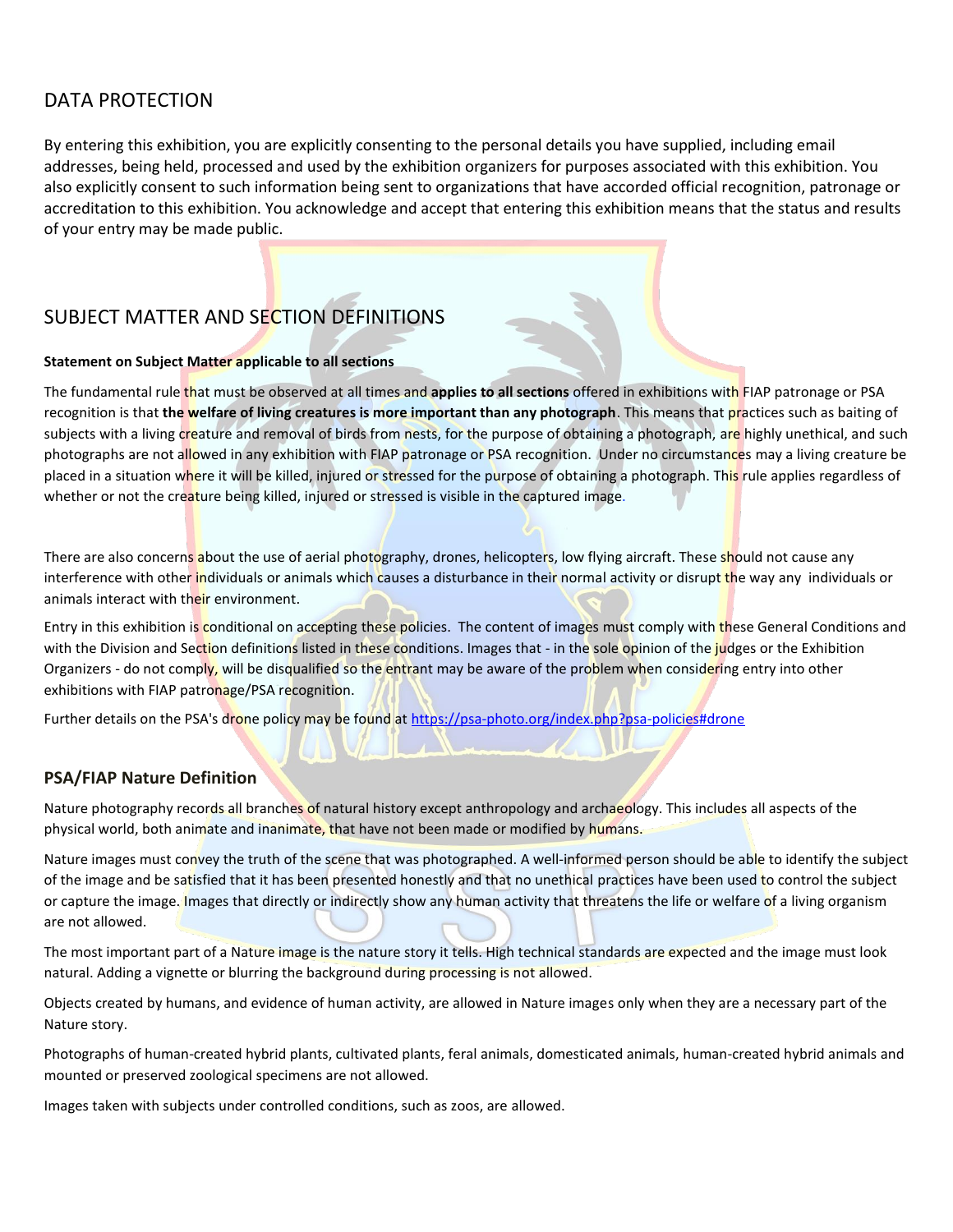# DATA PROTECTION

By entering this exhibition, you are explicitly consenting to the personal details you have supplied, including email addresses, being held, processed and used by the exhibition organizers for purposes associated with this exhibition. You also explicitly consent to such information being sent to organizations that have accorded official recognition, patronage or accreditation to this exhibition. You acknowledge and accept that entering this exhibition means that the status and results of your entry may be made public.

# SUBJECT MATTER AND SECTION DEFINITIONS

#### **Statement on Subject Matter applicable to all sections**

The fundamental rule that must be observed at all times and **applies to all sections** offered in exhibitions with FIAP patronage or PSA recognition is that **the welfare of living creatures is more important than any photograph**. This means that practices such as baiting of subjects with a living creature and removal of birds from nests, for the purpose of obtaining a photograph, are highly unethical, and such photographs are not allowed in any exhibition with FIAP patronage or PSA recognition. Under no circumstances may a living creature be placed in a situation where it will be killed, injured or stressed for the purpose of obtaining a photograph. This rule applies regardless of whether or not the creature being killed, injured or stressed is visible in the captured image.

There are also concerns about the use of aerial photography, drones, helicopters, low flying aircraft. These should not cause any interference with other individuals or animals which causes a disturbance in their normal activity or disrupt the way any individuals or animals interact with their environment.

Entry in this exhibition is conditional on accepting these policies. The content of images must comply with these General Conditions and with the Division and Section definitions listed in these conditions. Images that - in the sole opinion of the judges or the Exhibition Organizers - do not comply, will be disqualified so the entrant may be aware of the problem when considering entry into other exhibitions with FIAP patronage/PSA recognition.

Further details on the PSA's drone policy may be found at [https://psa-photo.org/index.php?psa-policies#drone](https://psa-photo.org/index.php?psa-policies%23drone)

### **PSA/FIAP Nature Definition**

Nature photography records all branches of natural history except anthropology and archaeology. This includes all aspects of the physical world, both animate and inanimate, that have not been made or modified by humans.

Nature images must convey the truth of the scene that was photographed. A well-informed person should be able to identify the subject of the image and be satisfied that it has been presented honestly and that no unethical practices have been used to control the subject or capture the image. Images that directly or indirectly show any human activity that threatens the life or welfare of a living organism are not allowed.

The most important part of a Nature image is the nature story it tells. High technical standards are expected and the image must look natural. Adding a vignette or blurring the background during processing is not allowed.

Objects created by humans, and evidence of human activity, are allowed in Nature images only when they are a necessary part of the Nature story.

Photographs of human-created hybrid plants, cultivated plants, feral animals, domesticated animals, human-created hybrid animals and mounted or preserved zoological specimens are not allowed.

Images taken with subjects under controlled conditions, such as zoos, are allowed.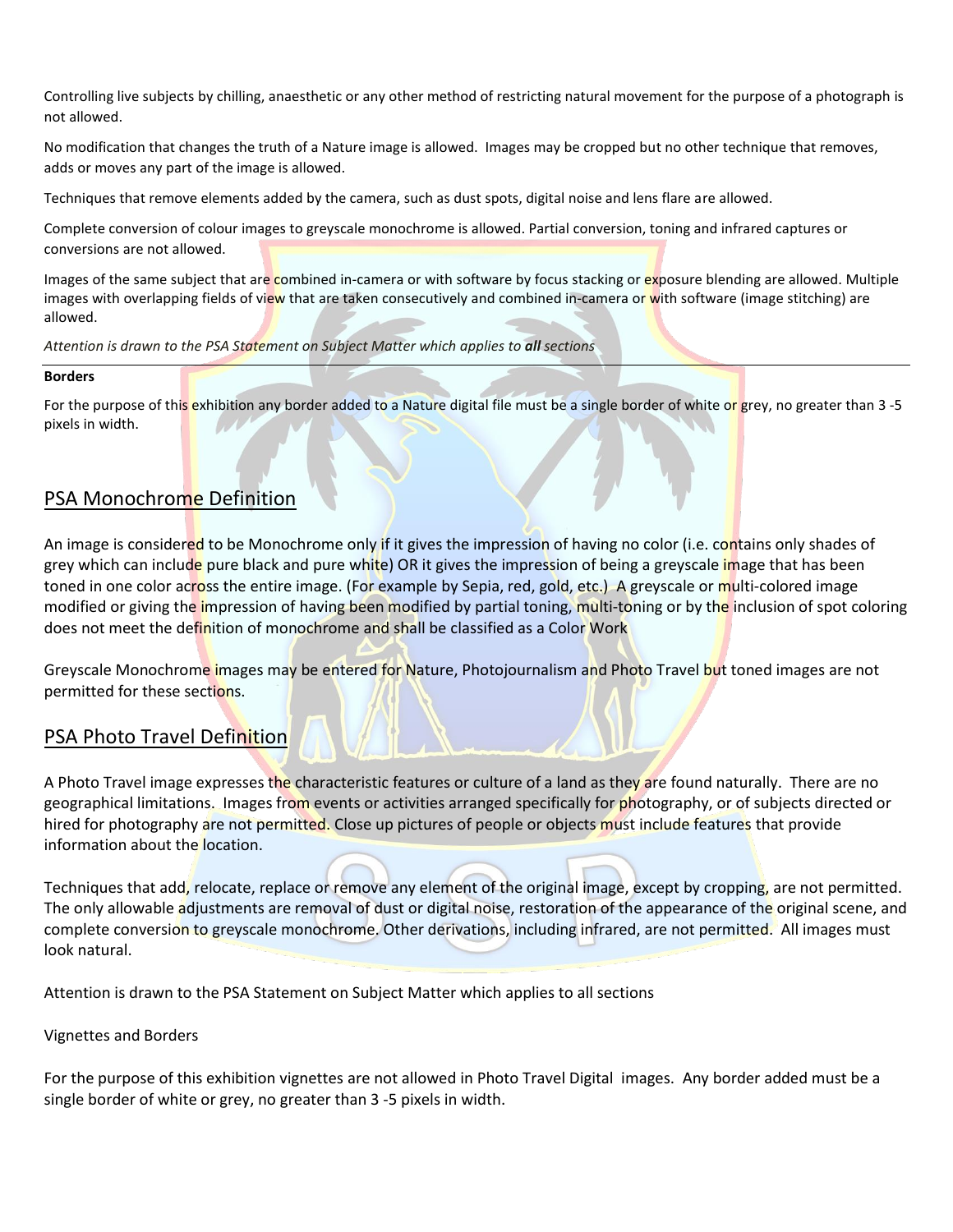Controlling live subjects by chilling, anaesthetic or any other method of restricting natural movement for the purpose of a photograph is not allowed.

No modification that changes the truth of a Nature image is allowed. Images may be cropped but no other technique that removes, adds or moves any part of the image is allowed.

Techniques that remove elements added by the camera, such as dust spots, digital noise and lens flare are allowed.

Complete conversion of colour images to greyscale monochrome is allowed. Partial conversion, toning and infrared captures or conversions are not allowed.

Images of the same subject that are combined in-camera or with software by focus stacking or exposure blending are allowed. Multiple images with overlapping fields of view that are taken consecutively and combined in-camera or with software (image stitching) are allowed.

*Attention is drawn to the PSA Statement on Subject Matter which applies to all sections*

#### **Borders**

For the purpose of this exhibition any border added to a Nature digital file must be a single border of white or grey, no greater than 3-5 pixels in width.

# PSA Monochrome Definition

An image is considered to be Monochrome only if it gives the impression of having no color (i.e. contains only shades of grey which can include pure black and pure white) OR it gives the impression of being a greyscale image that has been toned in one color across the entire image. (For example by Sepia, red, gold, etc.) A greyscale or multi-colored image modified or giving the impression of having been modified by partial toning, multi-toning or by the inclusion of spot coloring does not meet the definition of monochrome and shall be classified as a Color Work

Greyscale Monochrome images may be entered for Nature, Photojournalism and Photo Travel but toned images are not permitted for these sections.

### PSA Photo Travel Definition

A Photo Travel image expresses the characteristic features or culture of a land as they are found naturally. There are no geographical limitations. Images from events or activities arranged specifically for photography, or of subjects directed or hired for photography are not permitted. Close up pictures of people or objects must include features that provide information about the location.

Techniques that add, relocate, replace or remove any element of the original image, except by cropping, are not permitted. The only allowable adjustments are removal of dust or digital noise, restoration of the appearance of the original scene, and complete conversion to greyscale monochrome. Other derivations, including infrared, are not permitted. All images must look natural.

Attention is drawn to the PSA Statement on Subject Matter which applies to all sections

#### Vignettes and Borders

For the purpose of this exhibition vignettes are not allowed in Photo Travel Digital images. Any border added must be a single border of white or grey, no greater than 3 -5 pixels in width.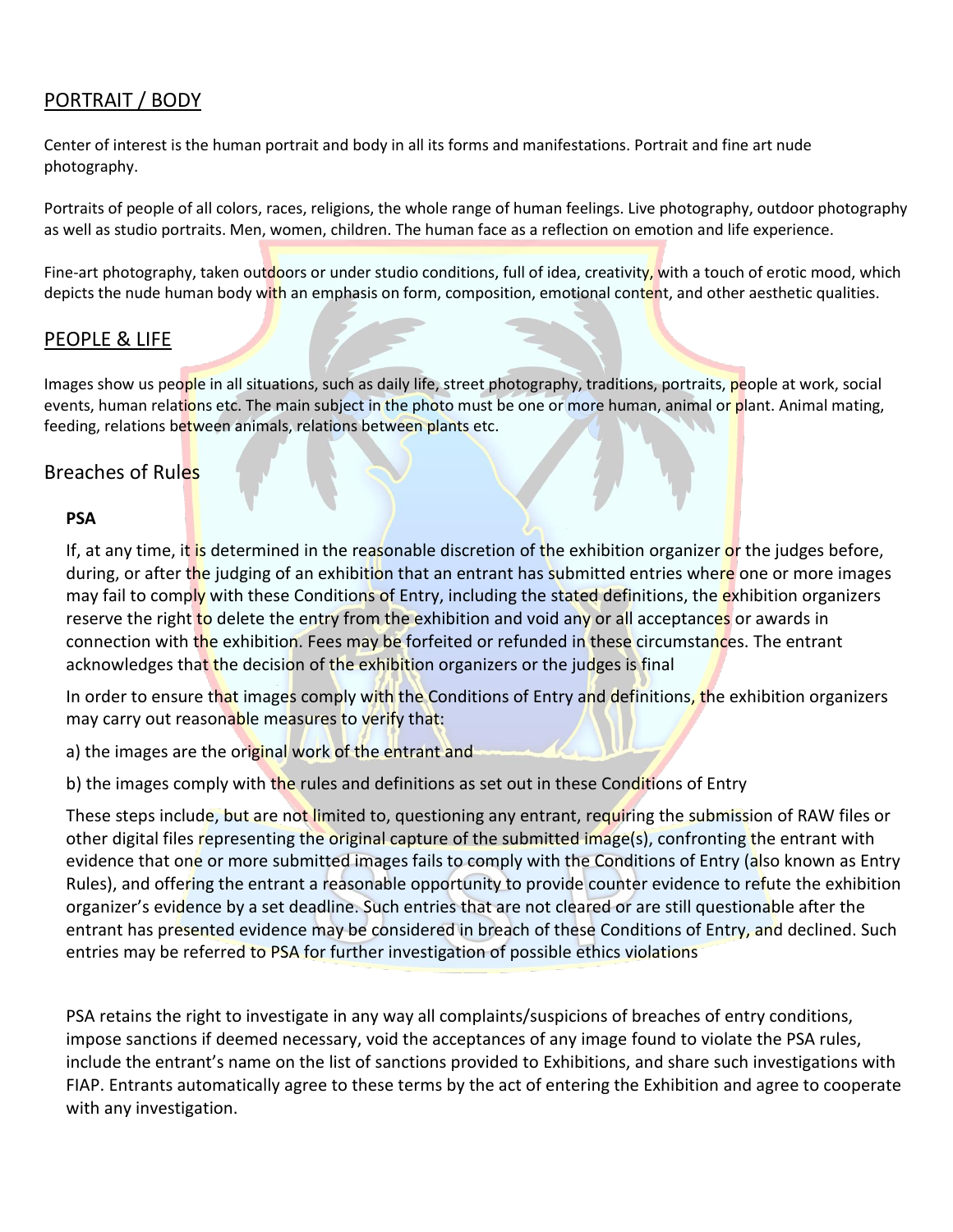# PORTRAIT / BODY

Center of interest is the human portrait and body in all its forms and manifestations. Portrait and fine art nude photography.

Portraits of people of all colors, races, religions, the whole range of human feelings. Live photography, outdoor photography as well as studio portraits. Men, women, children. The human face as a reflection on emotion and life experience.

Fine-art photography, taken outdoors or under studio conditions, full of idea, creativity, with a touch of erotic mood, which depicts the nude human body with an emphasis on form, composition, emotional content, and other aesthetic qualities.

# PEOPLE & LIFE

Images show us people in all situations, such as daily life, street photography, traditions, portraits, people at work, social events, human relations etc. The main subject in the photo must be one or more human, animal or plant. Animal mating, feeding, relations between animals, relations between plants etc.

# Breaches of Rules

### **PSA**

If, at any time, it is determined in the reasonable discretion of the exhibition organizer or the judges before, during, or after the judging of an exhibition that an entrant has submitted entries where one or more images may fail to comply with these Conditions of Entry, including the stated definitions, the exhibition organizers reserve the right to delete the entry from the exhibition and void any or all acceptances or awards in connection with the exhibition. Fees may be forfeited or refunded in these circumstances. The entrant acknowledges that the decision of the exhibition organizers or the judges is final

In order to ensure that images comply with the Conditions of Entry and definitions, the exhibition organizers may carry out reasonable measures to verify that:

a) the images are the original work of the entrant and

b) the images comply with the rules and definitions as set out in these Conditions of Entry

These steps include, but are not limited to, questioning any entrant, requiring the submission of RAW files or other digital files representing the original capture of the submitted image(s), confronting the entrant with evidence that one or more submitted images fails to comply with the Conditions of Entry (also known as Entry Rules), and offering the entrant a reasonable opportunity to provide counter evidence to refute the exhibition organizer's evidence by a set deadline. Such entries that are not cleared or are still questionable after the entrant has presented evidence may be considered in breach of these Conditions of Entry, and declined. Such entries may be referred to PSA for further investigation of possible ethics violations

PSA retains the right to investigate in any way all complaints/suspicions of breaches of entry conditions, impose sanctions if deemed necessary, void the acceptances of any image found to violate the PSA rules, include the entrant's name on the list of sanctions provided to Exhibitions, and share such investigations with FIAP. Entrants automatically agree to these terms by the act of entering the Exhibition and agree to cooperate with any investigation.